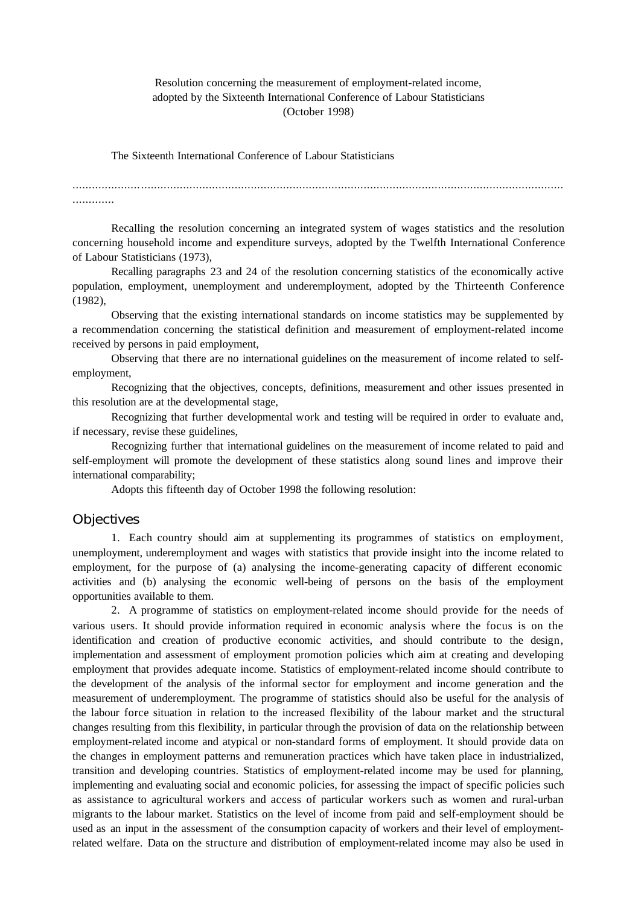# Resolution concerning the measurement of employment-related income, adopted by the Sixteenth International Conference of Labour Statisticians (October 1998)

The Sixteenth International Conference of Labour Statisticians

.............

Recalling the resolution concerning an integrated system of wages statistics and the resolution concerning household income and expenditure surveys, adopted by the Twelfth International Conference of Labour Statisticians (1973),

Recalling paragraphs 23 and 24 of the resolution concerning statistics of the economically active population, employment, unemployment and underemployment, adopted by the Thirteenth Conference (1982),

Observing that the existing international standards on income statistics may be supplemented by a recommendation concerning the statistical definition and measurement of employment-related income received by persons in paid employment,

Observing that there are no international guidelines on the measurement of income related to selfemployment,

Recognizing that the objectives, concepts, definitions, measurement and other issues presented in this resolution are at the developmental stage,

Recognizing that further developmental work and testing will be required in order to evaluate and, if necessary, revise these guidelines,

Recognizing further that international guidelines on the measurement of income related to paid and self-employment will promote the development of these statistics along sound lines and improve their international comparability;

Adopts this fifteenth day of October 1998 the following resolution:

### **Objectives**

1. Each country should aim at supplementing its programmes of statistics on employment, unemployment, underemployment and wages with statistics that provide insight into the income related to employment, for the purpose of (a) analysing the income-generating capacity of different economic activities and (b) analysing the economic well-being of persons on the basis of the employment opportunities available to them.

2. A programme of statistics on employment-related income should provide for the needs of various users. It should provide information required in economic analysis where the focus is on the identification and creation of productive economic activities, and should contribute to the design, implementation and assessment of employment promotion policies which aim at creating and developing employment that provides adequate income. Statistics of employment-related income should contribute to the development of the analysis of the informal sector for employment and income generation and the measurement of underemployment. The programme of statistics should also be useful for the analysis of the labour force situation in relation to the increased flexibility of the labour market and the structural changes resulting from this flexibility, in particular through the provision of data on the relationship between employment-related income and atypical or non-standard forms of employment. It should provide data on the changes in employment patterns and remuneration practices which have taken place in industrialized, transition and developing countries. Statistics of employment-related income may be used for planning, implementing and evaluating social and economic policies, for assessing the impact of specific policies such as assistance to agricultural workers and access of particular workers such as women and rural-urban migrants to the labour market. Statistics on the level of income from paid and self-employment should be used as an input in the assessment of the consumption capacity of workers and their level of employmentrelated welfare. Data on the structure and distribution of employment-related income may also be used in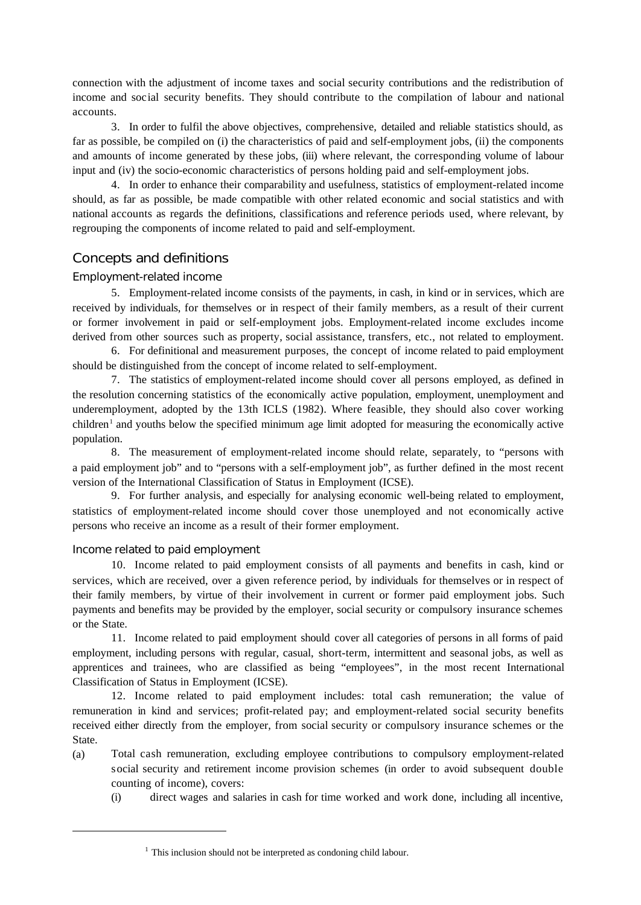connection with the adjustment of income taxes and social security contributions and the redistribution of income and social security benefits. They should contribute to the compilation of labour and national accounts.

3. In order to fulfil the above objectives, comprehensive, detailed and reliable statistics should, as far as possible, be compiled on (i) the characteristics of paid and self-employment jobs, (ii) the components and amounts of income generated by these jobs, (iii) where relevant, the corresponding volume of labour input and (iv) the socio-economic characteristics of persons holding paid and self-employment jobs.

4. In order to enhance their comparability and usefulness, statistics of employment-related income should, as far as possible, be made compatible with other related economic and social statistics and with national accounts as regards the definitions, classifications and reference periods used, where relevant, by regrouping the components of income related to paid and self-employment.

# Concepts and definitions

## *Employment-related income*

5. Employment-related income consists of the payments, in cash, in kind or in services, which are received by individuals, for themselves or in respect of their family members, as a result of their current or former involvement in paid or self-employment jobs. Employment-related income excludes income derived from other sources such as property, social assistance, transfers, etc., not related to employment.

6. For definitional and measurement purposes, the concept of income related to paid employment should be distinguished from the concept of income related to self-employment.

7. The statistics of employment-related income should cover all persons employed, as defined in the resolution concerning statistics of the economically active population, employment, unemployment and underemployment, adopted by the 13th ICLS (1982). Where feasible, they should also cover working children<sup>1</sup> and youths below the specified minimum age limit adopted for measuring the economically active population.

8. The measurement of employment-related income should relate, separately, to "persons with a paid employment job" and to "persons with a self-employment job", as further defined in the most recent version of the International Classification of Status in Employment (ICSE).

9. For further analysis, and especially for analysing economic well-being related to employment, statistics of employment-related income should cover those unemployed and not economically active persons who receive an income as a result of their former employment.

## *Income related to paid employment*

10. Income related to paid employment consists of all payments and benefits in cash, kind or services, which are received, over a given reference period, by individuals for themselves or in respect of their family members, by virtue of their involvement in current or former paid employment jobs. Such payments and benefits may be provided by the employer, social security or compulsory insurance schemes or the State.

11. Income related to paid employment should cover all categories of persons in all forms of paid employment, including persons with regular, casual, short-term, intermittent and seasonal jobs, as well as apprentices and trainees, who are classified as being "employees", in the most recent International Classification of Status in Employment (ICSE).

12. Income related to paid employment includes: total cash remuneration; the value of remuneration in kind and services; profit-related pay; and employment-related social security benefits received either directly from the employer, from social security or compulsory insurance schemes or the State.

- (a) Total cash remuneration, excluding employee contributions to compulsory employment-related social security and retirement income provision schemes (in order to avoid subsequent double counting of income), covers:
	- (i) direct wages and salaries in cash for time worked and work done, including all incentive,

 $1$  This inclusion should not be interpreted as condoning child labour.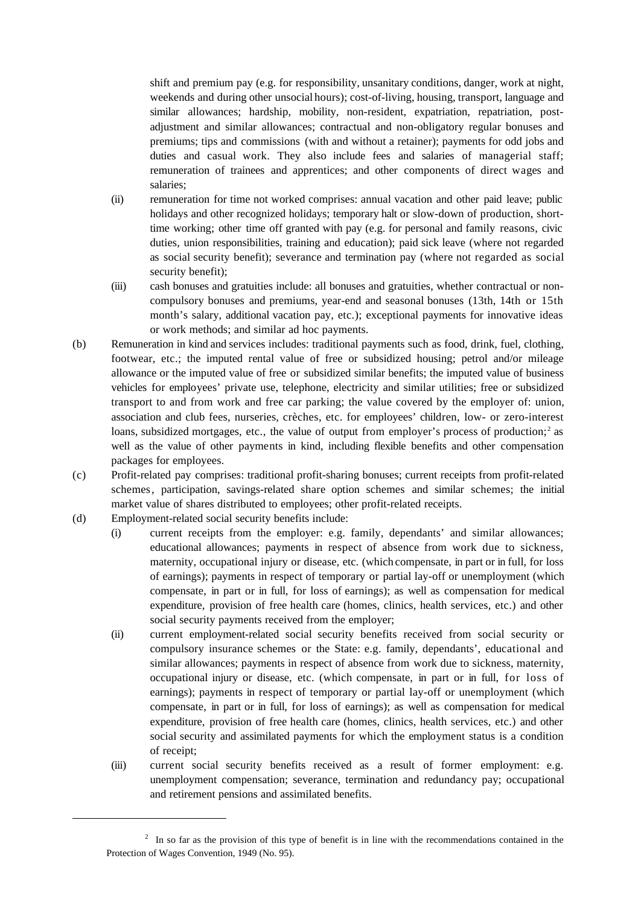shift and premium pay (e.g. for responsibility, unsanitary conditions, danger, work at night, weekends and during other unsocial hours); cost-of-living, housing, transport, language and similar allowances; hardship, mobility, non-resident, expatriation, repatriation, postadjustment and similar allowances; contractual and non-obligatory regular bonuses and premiums; tips and commissions (with and without a retainer); payments for odd jobs and duties and casual work. They also include fees and salaries of managerial staff; remuneration of trainees and apprentices; and other components of direct wages and salaries;

- (ii) remuneration for time not worked comprises: annual vacation and other paid leave; public holidays and other recognized holidays; temporary halt or slow-down of production, shorttime working; other time off granted with pay (e.g. for personal and family reasons, civic duties, union responsibilities, training and education); paid sick leave (where not regarded as social security benefit); severance and termination pay (where not regarded as social security benefit);
- (iii) cash bonuses and gratuities include: all bonuses and gratuities, whether contractual or noncompulsory bonuses and premiums, year-end and seasonal bonuses (13th, 14th or 15th month's salary, additional vacation pay, etc.); exceptional payments for innovative ideas or work methods; and similar ad hoc payments.
- (b) Remuneration in kind and services includes: traditional payments such as food, drink, fuel, clothing, footwear, etc.; the imputed rental value of free or subsidized housing; petrol and/or mileage allowance or the imputed value of free or subsidized similar benefits; the imputed value of business vehicles for employees' private use, telephone, electricity and similar utilities; free or subsidized transport to and from work and free car parking; the value covered by the employer of: union, association and club fees, nurseries, crèches, etc. for employees' children, low- or zero-interest loans, subsidized mortgages, etc., the value of output from employer's process of production;<sup>2</sup> as well as the value of other payments in kind, including flexible benefits and other compensation packages for employees.
- (c) Profit-related pay comprises: traditional profit-sharing bonuses; current receipts from profit-related schemes, participation, savings-related share option schemes and similar schemes; the initial market value of shares distributed to employees; other profit-related receipts.
- (d) Employment-related social security benefits include:
	- (i) current receipts from the employer: e.g. family, dependants' and similar allowances; educational allowances; payments in respect of absence from work due to sickness, maternity, occupational injury or disease, etc. (which compensate, in part or in full, for loss of earnings); payments in respect of temporary or partial lay-off or unemployment (which compensate, in part or in full, for loss of earnings); as well as compensation for medical expenditure, provision of free health care (homes, clinics, health services, etc.) and other social security payments received from the employer;
	- (ii) current employment-related social security benefits received from social security or compulsory insurance schemes or the State: e.g. family, dependants', educational and similar allowances; payments in respect of absence from work due to sickness, maternity, occupational injury or disease, etc. (which compensate, in part or in full, for loss of earnings); payments in respect of temporary or partial lay-off or unemployment (which compensate, in part or in full, for loss of earnings); as well as compensation for medical expenditure, provision of free health care (homes, clinics, health services, etc.) and other social security and assimilated payments for which the employment status is a condition of receipt;
	- (iii) current social security benefits received as a result of former employment: e.g. unemployment compensation; severance, termination and redundancy pay; occupational and retirement pensions and assimilated benefits.

 $2\;\;$  In so far as the provision of this type of benefit is in line with the recommendations contained in the Protection of Wages Convention, 1949 (No. 95).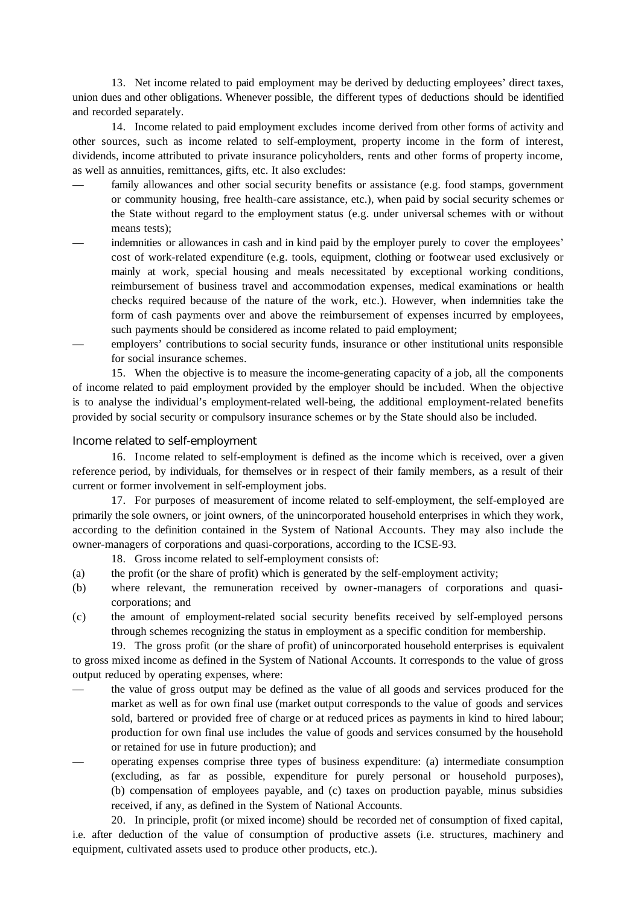13. Net income related to paid employment may be derived by deducting employees' direct taxes, union dues and other obligations. Whenever possible, the different types of deductions should be identified and recorded separately.

14. Income related to paid employment excludes income derived from other forms of activity and other sources, such as income related to self-employment, property income in the form of interest, dividends, income attributed to private insurance policyholders, rents and other forms of property income, as well as annuities, remittances, gifts, etc. It also excludes:

- family allowances and other social security benefits or assistance (e.g. food stamps, government or community housing, free health-care assistance, etc.), when paid by social security schemes or the State without regard to the employment status (e.g. under universal schemes with or without means tests);
- indemnities or allowances in cash and in kind paid by the employer purely to cover the employees' cost of work-related expenditure (e.g. tools, equipment, clothing or footwear used exclusively or mainly at work, special housing and meals necessitated by exceptional working conditions, reimbursement of business travel and accommodation expenses, medical examinations or health checks required because of the nature of the work, etc.). However, when indemnities take the form of cash payments over and above the reimbursement of expenses incurred by employees, such payments should be considered as income related to paid employment;
- employers' contributions to social security funds, insurance or other institutional units responsible for social insurance schemes.

15. When the objective is to measure the income-generating capacity of a job, all the components of income related to paid employment provided by the employer should be included. When the objective is to analyse the individual's employment-related well-being, the additional employment-related benefits provided by social security or compulsory insurance schemes or by the State should also be included.

#### *Income related to self-employment*

16. Income related to self-employment is defined as the income which is received, over a given reference period, by individuals, for themselves or in respect of their family members, as a result of their current or former involvement in self-employment jobs.

17. For purposes of measurement of income related to self-employment, the self-employed are primarily the sole owners, or joint owners, of the unincorporated household enterprises in which they work, according to the definition contained in the System of National Accounts. They may also include the owner-managers of corporations and quasi-corporations, according to the ICSE-93.

18. Gross income related to self-employment consists of:

- (a) the profit (or the share of profit) which is generated by the self-employment activity;
- (b) where relevant, the remuneration received by owner-managers of corporations and quasicorporations; and
- (c) the amount of employment-related social security benefits received by self-employed persons through schemes recognizing the status in employment as a specific condition for membership.

19. The gross profit (or the share of profit) of unincorporated household enterprises is equivalent to gross mixed income as defined in the System of National Accounts. It corresponds to the value of gross output reduced by operating expenses, where:

- the value of gross output may be defined as the value of all goods and services produced for the market as well as for own final use (market output corresponds to the value of goods and services sold, bartered or provided free of charge or at reduced prices as payments in kind to hired labour; production for own final use includes the value of goods and services consumed by the household or retained for use in future production); and
- operating expenses comprise three types of business expenditure: (a) intermediate consumption (excluding, as far as possible, expenditure for purely personal or household purposes), (b) compensation of employees payable, and (c) taxes on production payable, minus subsidies received, if any, as defined in the System of National Accounts.

20. In principle, profit (or mixed income) should be recorded net of consumption of fixed capital, i.e. after deduction of the value of consumption of productive assets (i.e. structures, machinery and equipment, cultivated assets used to produce other products, etc.).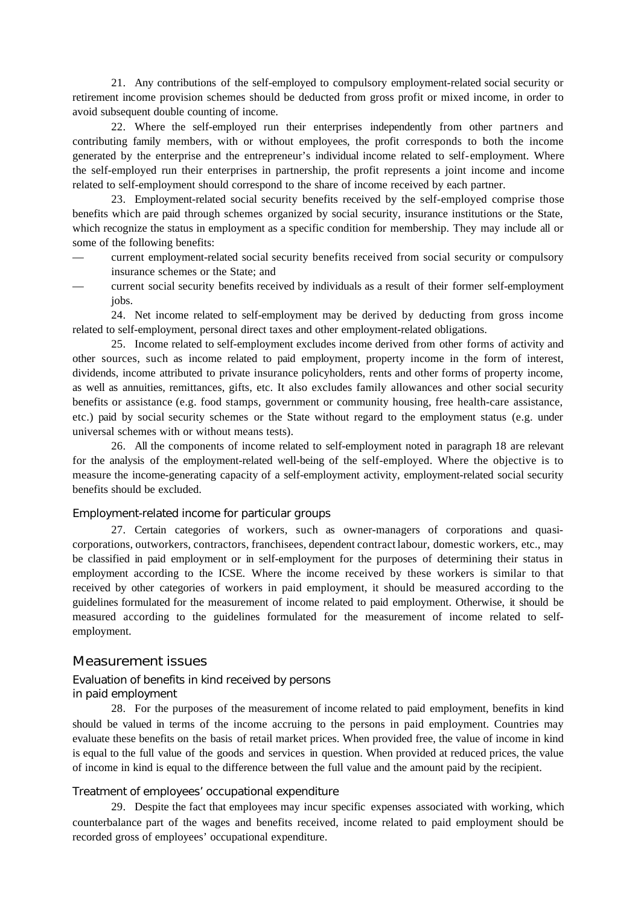21. Any contributions of the self-employed to compulsory employment-related social security or retirement income provision schemes should be deducted from gross profit or mixed income, in order to avoid subsequent double counting of income.

22. Where the self-employed run their enterprises independently from other partners and contributing family members, with or without employees, the profit corresponds to both the income generated by the enterprise and the entrepreneur's individual income related to self-employment. Where the self-employed run their enterprises in partnership, the profit represents a joint income and income related to self-employment should correspond to the share of income received by each partner.

23. Employment-related social security benefits received by the self-employed comprise those benefits which are paid through schemes organized by social security, insurance institutions or the State, which recognize the status in employment as a specific condition for membership. They may include all or some of the following benefits:

- current employment-related social security benefits received from social security or compulsory insurance schemes or the State; and
- current social security benefits received by individuals as a result of their former self-employment jobs.

24. Net income related to self-employment may be derived by deducting from gross income related to self-employment, personal direct taxes and other employment-related obligations.

25. Income related to self-employment excludes income derived from other forms of activity and other sources, such as income related to paid employment, property income in the form of interest, dividends, income attributed to private insurance policyholders, rents and other forms of property income, as well as annuities, remittances, gifts, etc. It also excludes family allowances and other social security benefits or assistance (e.g. food stamps, government or community housing, free health-care assistance, etc.) paid by social security schemes or the State without regard to the employment status (e.g. under universal schemes with or without means tests).

26. All the components of income related to self-employment noted in paragraph 18 are relevant for the analysis of the employment-related well-being of the self-employed. Where the objective is to measure the income-generating capacity of a self-employment activity, employment-related social security benefits should be excluded.

### *Employment-related income for particular groups*

27. Certain categories of workers, such as owner-managers of corporations and quasicorporations, outworkers, contractors, franchisees, dependent contract labour, domestic workers, etc., may be classified in paid employment or in self-employment for the purposes of determining their status in employment according to the ICSE. Where the income received by these workers is similar to that received by other categories of workers in paid employment, it should be measured according to the guidelines formulated for the measurement of income related to paid employment. Otherwise, it should be measured according to the guidelines formulated for the measurement of income related to selfemployment.

### Measurement issues

# *Evaluation of benefits in kind received by persons in paid employment*

28. For the purposes of the measurement of income related to paid employment, benefits in kind should be valued in terms of the income accruing to the persons in paid employment. Countries may evaluate these benefits on the basis of retail market prices. When provided free, the value of income in kind is equal to the full value of the goods and services in question. When provided at reduced prices, the value of income in kind is equal to the difference between the full value and the amount paid by the recipient.

#### *Treatment of employees' occupational expenditure*

29. Despite the fact that employees may incur specific expenses associated with working, which counterbalance part of the wages and benefits received, income related to paid employment should be recorded gross of employees' occupational expenditure.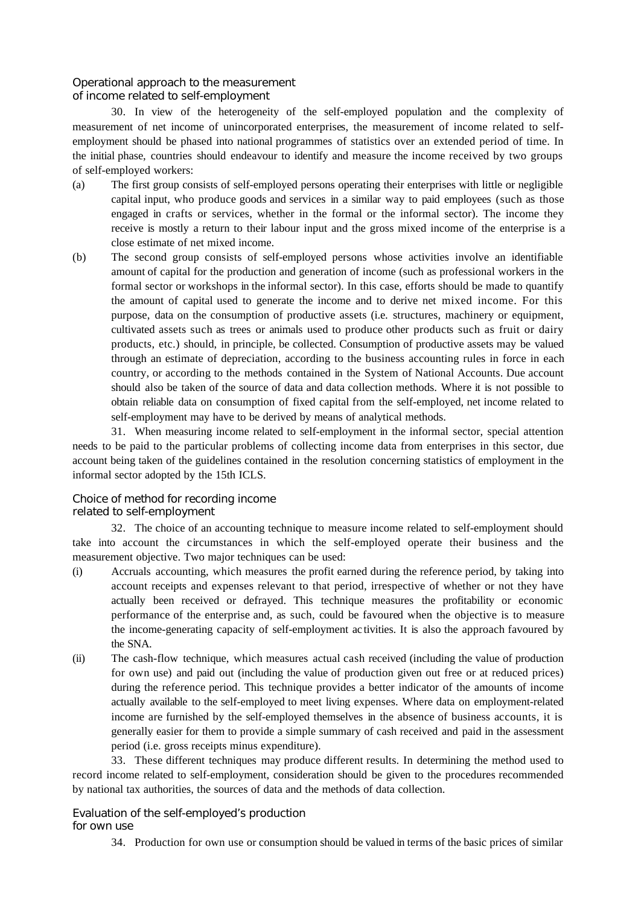# *Operational approach to the measurement of income related to self-employment*

30. In view of the heterogeneity of the self-employed population and the complexity of measurement of net income of unincorporated enterprises, the measurement of income related to selfemployment should be phased into national programmes of statistics over an extended period of time. In the initial phase, countries should endeavour to identify and measure the income received by two groups of self-employed workers:

- (a) The first group consists of self-employed persons operating their enterprises with little or negligible capital input, who produce goods and services in a similar way to paid employees (such as those engaged in crafts or services, whether in the formal or the informal sector). The income they receive is mostly a return to their labour input and the gross mixed income of the enterprise is a close estimate of net mixed income.
- (b) The second group consists of self-employed persons whose activities involve an identifiable amount of capital for the production and generation of income (such as professional workers in the formal sector or workshops in the informal sector). In this case, efforts should be made to quantify the amount of capital used to generate the income and to derive net mixed income. For this purpose, data on the consumption of productive assets (i.e. structures, machinery or equipment, cultivated assets such as trees or animals used to produce other products such as fruit or dairy products, etc.) should, in principle, be collected. Consumption of productive assets may be valued through an estimate of depreciation, according to the business accounting rules in force in each country, or according to the methods contained in the System of National Accounts. Due account should also be taken of the source of data and data collection methods. Where it is not possible to obtain reliable data on consumption of fixed capital from the self-employed, net income related to self-employment may have to be derived by means of analytical methods.

31. When measuring income related to self-employment in the informal sector, special attention needs to be paid to the particular problems of collecting income data from enterprises in this sector, due account being taken of the guidelines contained in the resolution concerning statistics of employment in the informal sector adopted by the 15th ICLS.

## *Choice of method for recording income related to self-employment*

32. The choice of an accounting technique to measure income related to self-employment should take into account the circumstances in which the self-employed operate their business and the measurement objective. Two major techniques can be used:

- (i) Accruals accounting, which measures the profit earned during the reference period, by taking into account receipts and expenses relevant to that period, irrespective of whether or not they have actually been received or defrayed. This technique measures the profitability or economic performance of the enterprise and, as such, could be favoured when the objective is to measure the income-generating capacity of self-employment ac tivities. It is also the approach favoured by the SNA.
- (ii) The cash-flow technique, which measures actual cash received (including the value of production for own use) and paid out (including the value of production given out free or at reduced prices) during the reference period. This technique provides a better indicator of the amounts of income actually available to the self-employed to meet living expenses. Where data on employment-related income are furnished by the self-employed themselves in the absence of business accounts, it is generally easier for them to provide a simple summary of cash received and paid in the assessment period (i.e. gross receipts minus expenditure).

33. These different techniques may produce different results. In determining the method used to record income related to self-employment, consideration should be given to the procedures recommended by national tax authorities, the sources of data and the methods of data collection.

# *Evaluation of the self-employed's production for own use*

34. Production for own use or consumption should be valued in terms of the basic prices of similar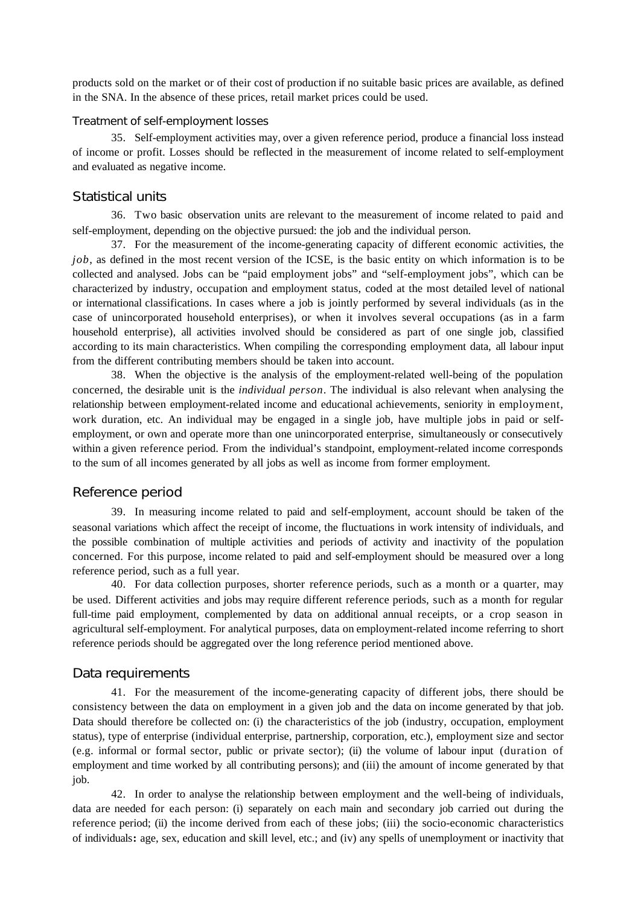products sold on the market or of their cost of production if no suitable basic prices are available, as defined in the SNA. In the absence of these prices, retail market prices could be used.

#### *Treatment of self-employment losses*

35. Self-employment activities may, over a given reference period, produce a financial loss instead of income or profit. Losses should be reflected in the measurement of income related to self-employment and evaluated as negative income.

### Statistical units

36. Two basic observation units are relevant to the measurement of income related to paid and self-employment, depending on the objective pursued: the job and the individual person.

37. For the measurement of the income-generating capacity of different economic activities, the *job*, as defined in the most recent version of the ICSE, is the basic entity on which information is to be collected and analysed. Jobs can be "paid employment jobs" and "self-employment jobs", which can be characterized by industry, occupation and employment status, coded at the most detailed level of national or international classifications. In cases where a job is jointly performed by several individuals (as in the case of unincorporated household enterprises), or when it involves several occupations (as in a farm household enterprise), all activities involved should be considered as part of one single job, classified according to its main characteristics. When compiling the corresponding employment data, all labour input from the different contributing members should be taken into account.

38. When the objective is the analysis of the employment-related well-being of the population concerned, the desirable unit is the *individual person*. The individual is also relevant when analysing the relationship between employment-related income and educational achievements, seniority in employment, work duration, etc. An individual may be engaged in a single job, have multiple jobs in paid or selfemployment, or own and operate more than one unincorporated enterprise, simultaneously or consecutively within a given reference period. From the individual's standpoint, employment-related income corresponds to the sum of all incomes generated by all jobs as well as income from former employment.

### Reference period

39. In measuring income related to paid and self-employment, account should be taken of the seasonal variations which affect the receipt of income, the fluctuations in work intensity of individuals, and the possible combination of multiple activities and periods of activity and inactivity of the population concerned. For this purpose, income related to paid and self-employment should be measured over a long reference period, such as a full year.

40. For data collection purposes, shorter reference periods, such as a month or a quarter, may be used. Different activities and jobs may require different reference periods, such as a month for regular full-time paid employment, complemented by data on additional annual receipts, or a crop season in agricultural self-employment. For analytical purposes, data on employment-related income referring to short reference periods should be aggregated over the long reference period mentioned above.

#### Data requirements

41. For the measurement of the income-generating capacity of different jobs, there should be consistency between the data on employment in a given job and the data on income generated by that job. Data should therefore be collected on: (i) the characteristics of the job (industry, occupation, employment status), type of enterprise (individual enterprise, partnership, corporation, etc.), employment size and sector (e.g. informal or formal sector, public or private sector); (ii) the volume of labour input (duration of employment and time worked by all contributing persons); and (iii) the amount of income generated by that job.

42. In order to analyse the relationship between employment and the well-being of individuals, data are needed for each person: (i) separately on each main and secondary job carried out during the reference period; (ii) the income derived from each of these jobs; (iii) the socio-economic characteristics of individuals**:** age, sex, education and skill level, etc.; and (iv) any spells of unemployment or inactivity that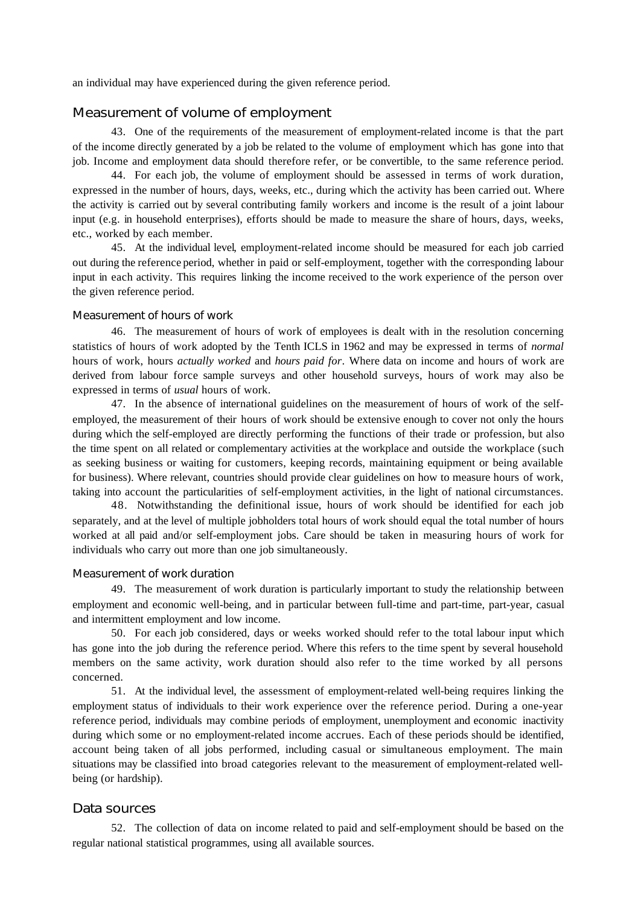an individual may have experienced during the given reference period.

# Measurement of volume of employment

43. One of the requirements of the measurement of employment-related income is that the part of the income directly generated by a job be related to the volume of employment which has gone into that job. Income and employment data should therefore refer, or be convertible, to the same reference period.

44. For each job, the volume of employment should be assessed in terms of work duration, expressed in the number of hours, days, weeks, etc., during which the activity has been carried out. Where the activity is carried out by several contributing family workers and income is the result of a joint labour input (e.g. in household enterprises), efforts should be made to measure the share of hours, days, weeks, etc., worked by each member.

45. At the individual level, employment-related income should be measured for each job carried out during the reference period, whether in paid or self-employment, together with the corresponding labour input in each activity. This requires linking the income received to the work experience of the person over the given reference period.

#### *Measurement of hours of work*

46. The measurement of hours of work of employees is dealt with in the resolution concerning statistics of hours of work adopted by the Tenth ICLS in 1962 and may be expressed in terms of *normal* hours of work, hours *actually worked* and *hours paid for*. Where data on income and hours of work are derived from labour force sample surveys and other household surveys, hours of work may also be expressed in terms of *usual* hours of work.

47. In the absence of international guidelines on the measurement of hours of work of the selfemployed, the measurement of their hours of work should be extensive enough to cover not only the hours during which the self-employed are directly performing the functions of their trade or profession, but also the time spent on all related or complementary activities at the workplace and outside the workplace (such as seeking business or waiting for customers, keeping records, maintaining equipment or being available for business). Where relevant, countries should provide clear guidelines on how to measure hours of work, taking into account the particularities of self-employment activities, in the light of national circumstances.

48. Notwithstanding the definitional issue, hours of work should be identified for each job separately, and at the level of multiple jobholders total hours of work should equal the total number of hours worked at all paid and/or self-employment jobs. Care should be taken in measuring hours of work for individuals who carry out more than one job simultaneously.

#### *Measurement of work duration*

49. The measurement of work duration is particularly important to study the relationship between employment and economic well-being, and in particular between full-time and part-time, part-year, casual and intermittent employment and low income.

50. For each job considered, days or weeks worked should refer to the total labour input which has gone into the job during the reference period. Where this refers to the time spent by several household members on the same activity, work duration should also refer to the time worked by all persons concerned.

51. At the individual level, the assessment of employment-related well-being requires linking the employment status of individuals to their work experience over the reference period. During a one-year reference period, individuals may combine periods of employment, unemployment and economic inactivity during which some or no employment-related income accrues. Each of these periods should be identified, account being taken of all jobs performed, including casual or simultaneous employment. The main situations may be classified into broad categories relevant to the measurement of employment-related wellbeing (or hardship).

### Data sources

52. The collection of data on income related to paid and self-employment should be based on the regular national statistical programmes, using all available sources.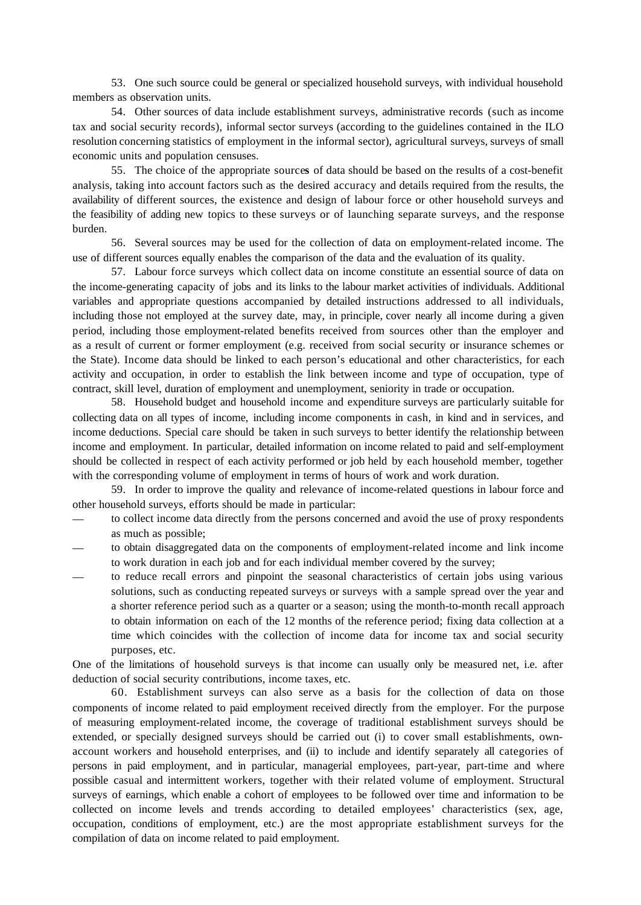53. One such source could be general or specialized household surveys, with individual household members as observation units.

54. Other sources of data include establishment surveys, administrative records (such as income tax and social security records), informal sector surveys (according to the guidelines contained in the ILO resolution concerning statistics of employment in the informal sector), agricultural surveys, surveys of small economic units and population censuses.

55. The choice of the appropriate source**s** of data should be based on the results of a cost-benefit analysis, taking into account factors such as the desired accuracy and details required from the results, the availability of different sources, the existence and design of labour force or other household surveys and the feasibility of adding new topics to these surveys or of launching separate surveys, and the response burden.

56. Several sources may be used for the collection of data on employment-related income. The use of different sources equally enables the comparison of the data and the evaluation of its quality.

57. Labour force surveys which collect data on income constitute an essential source of data on the income-generating capacity of jobs and its links to the labour market activities of individuals. Additional variables and appropriate questions accompanied by detailed instructions addressed to all individuals, including those not employed at the survey date, may, in principle, cover nearly all income during a given period, including those employment-related benefits received from sources other than the employer and as a result of current or former employment (e.g. received from social security or insurance schemes or the State). Income data should be linked to each person's educational and other characteristics, for each activity and occupation, in order to establish the link between income and type of occupation, type of contract, skill level, duration of employment and unemployment, seniority in trade or occupation.

58. Household budget and household income and expenditure surveys are particularly suitable for collecting data on all types of income, including income components in cash, in kind and in services, and income deductions. Special care should be taken in such surveys to better identify the relationship between income and employment. In particular, detailed information on income related to paid and self-employment should be collected in respect of each activity performed or job held by each household member, together with the corresponding volume of employment in terms of hours of work and work duration.

59. In order to improve the quality and relevance of income-related questions in labour force and other household surveys, efforts should be made in particular:

- to collect income data directly from the persons concerned and avoid the use of proxy respondents as much as possible;
- to obtain disaggregated data on the components of employment-related income and link income to work duration in each job and for each individual member covered by the survey;
- to reduce recall errors and pinpoint the seasonal characteristics of certain jobs using various solutions, such as conducting repeated surveys or surveys with a sample spread over the year and a shorter reference period such as a quarter or a season; using the month-to-month recall approach to obtain information on each of the 12 months of the reference period; fixing data collection at a time which coincides with the collection of income data for income tax and social security purposes, etc.

One of the limitations of household surveys is that income can usually only be measured net, i.e. after deduction of social security contributions, income taxes, etc.

60. Establishment surveys can also serve as a basis for the collection of data on those components of income related to paid employment received directly from the employer. For the purpose of measuring employment-related income, the coverage of traditional establishment surveys should be extended, or specially designed surveys should be carried out (i) to cover small establishments, ownaccount workers and household enterprises, and (ii) to include and identify separately all categories of persons in paid employment, and in particular, managerial employees, part-year, part-time and where possible casual and intermittent workers, together with their related volume of employment. Structural surveys of earnings, which enable a cohort of employees to be followed over time and information to be collected on income levels and trends according to detailed employees' characteristics (sex, age, occupation, conditions of employment, etc.) are the most appropriate establishment surveys for the compilation of data on income related to paid employment.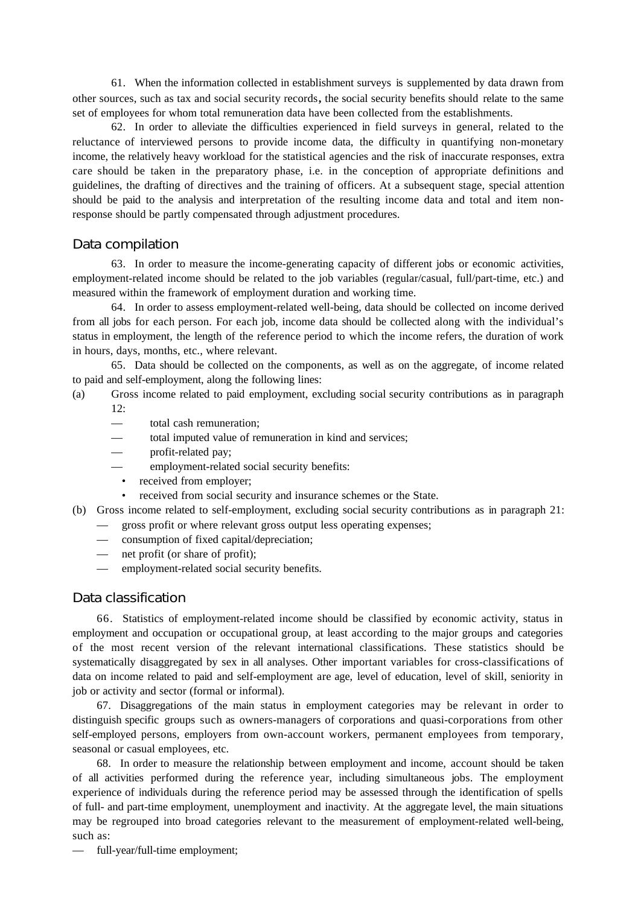61. When the information collected in establishment surveys is supplemented by data drawn from other sources, such as tax and social security records**,** the social security benefits should relate to the same set of employees for whom total remuneration data have been collected from the establishments.

62. In order to alleviate the difficulties experienced in field surveys in general, related to the reluctance of interviewed persons to provide income data, the difficulty in quantifying non-monetary income, the relatively heavy workload for the statistical agencies and the risk of inaccurate responses, extra care should be taken in the preparatory phase, i.e. in the conception of appropriate definitions and guidelines, the drafting of directives and the training of officers. At a subsequent stage, special attention should be paid to the analysis and interpretation of the resulting income data and total and item nonresponse should be partly compensated through adjustment procedures.

## Data compilation

63. In order to measure the income-generating capacity of different jobs or economic activities, employment-related income should be related to the job variables (regular/casual, full/part-time, etc.) and measured within the framework of employment duration and working time.

64. In order to assess employment-related well-being, data should be collected on income derived from all jobs for each person. For each job, income data should be collected along with the individual's status in employment, the length of the reference period to which the income refers, the duration of work in hours, days, months, etc., where relevant.

65. Data should be collected on the components, as well as on the aggregate, of income related to paid and self-employment, along the following lines:

- (a) Gross income related to paid employment, excluding social security contributions as in paragraph  $12.$ 
	- total cash remuneration:
	- total imputed value of remuneration in kind and services;
	- profit-related pay;
	- employment-related social security benefits:
	- received from employer;
	- received from social security and insurance schemes or the State.
- (b) Gross income related to self-employment, excluding social security contributions as in paragraph 21:
	- gross profit or where relevant gross output less operating expenses;
	- consumption of fixed capital/depreciation;
	- net profit (or share of profit);
	- employment-related social security benefits.

## Data classification

66. Statistics of employment-related income should be classified by economic activity, status in employment and occupation or occupational group, at least according to the major groups and categories of the most recent version of the relevant international classifications. These statistics should be systematically disaggregated by sex in all analyses. Other important variables for cross-classifications of data on income related to paid and self-employment are age, level of education, level of skill, seniority in job or activity and sector (formal or informal).

67. Disaggregations of the main status in employment categories may be relevant in order to distinguish specific groups such as owners-managers of corporations and quasi-corporations from other self-employed persons, employers from own-account workers, permanent employees from temporary, seasonal or casual employees, etc.

68. In order to measure the relationship between employment and income, account should be taken of all activities performed during the reference year, including simultaneous jobs. The employment experience of individuals during the reference period may be assessed through the identification of spells of full- and part-time employment, unemployment and inactivity. At the aggregate level, the main situations may be regrouped into broad categories relevant to the measurement of employment-related well-being, such as:

— full-year/full-time employment;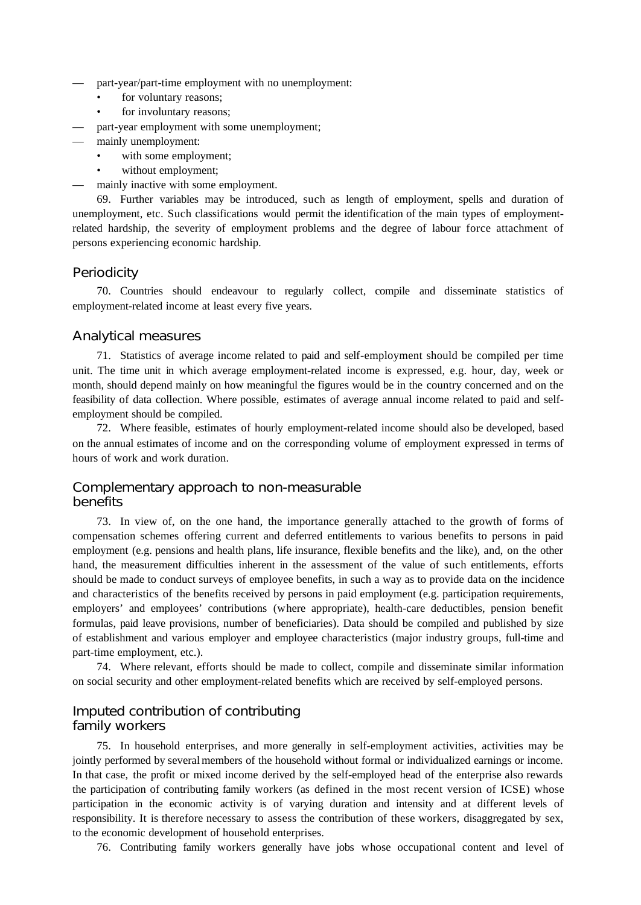- part-year/part-time employment with no unemployment:
	- for voluntary reasons;
	- for involuntary reasons;
- part-year employment with some unemployment;
- mainly unemployment:
	- with some employment;
	- without employment;
- mainly inactive with some employment.

69. Further variables may be introduced, such as length of employment, spells and duration of unemployment, etc. Such classifications would permit the identification of the main types of employmentrelated hardship, the severity of employment problems and the degree of labour force attachment of persons experiencing economic hardship.

### **Periodicity**

70. Countries should endeavour to regularly collect, compile and disseminate statistics of employment-related income at least every five years.

### Analytical measures

71. Statistics of average income related to paid and self-employment should be compiled per time unit. The time unit in which average employment-related income is expressed, e.g. hour, day, week or month, should depend mainly on how meaningful the figures would be in the country concerned and on the feasibility of data collection. Where possible, estimates of average annual income related to paid and selfemployment should be compiled.

72. Where feasible, estimates of hourly employment-related income should also be developed, based on the annual estimates of income and on the corresponding volume of employment expressed in terms of hours of work and work duration.

# Complementary approach to non-measurable benefits

73. In view of, on the one hand, the importance generally attached to the growth of forms of compensation schemes offering current and deferred entitlements to various benefits to persons in paid employment (e.g. pensions and health plans, life insurance, flexible benefits and the like), and, on the other hand, the measurement difficulties inherent in the assessment of the value of such entitlements, efforts should be made to conduct surveys of employee benefits, in such a way as to provide data on the incidence and characteristics of the benefits received by persons in paid employment (e.g. participation requirements, employers' and employees' contributions (where appropriate), health-care deductibles, pension benefit formulas, paid leave provisions, number of beneficiaries). Data should be compiled and published by size of establishment and various employer and employee characteristics (major industry groups, full-time and part-time employment, etc.).

74. Where relevant, efforts should be made to collect, compile and disseminate similar information on social security and other employment-related benefits which are received by self-employed persons.

# Imputed contribution of contributing family workers

75. In household enterprises, and more generally in self-employment activities, activities may be jointly performed by several members of the household without formal or individualized earnings or income. In that case, the profit or mixed income derived by the self-employed head of the enterprise also rewards the participation of contributing family workers (as defined in the most recent version of ICSE) whose participation in the economic activity is of varying duration and intensity and at different levels of responsibility. It is therefore necessary to assess the contribution of these workers, disaggregated by sex, to the economic development of household enterprises.

76. Contributing family workers generally have jobs whose occupational content and level of